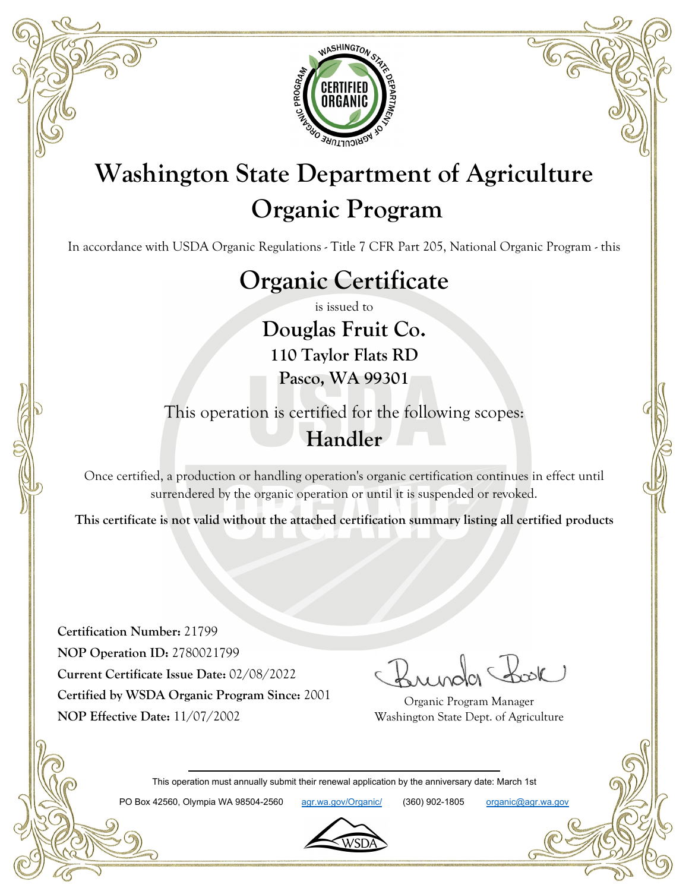

# **Washington State Department of Agriculture Organic Program**

In accordance with USDA Organic Regulations - Title 7 CFR Part 205, National Organic Program - this

# **Organic Certificate**

is issued to

**Douglas Fruit Co. 110 Taylor Flats RD Pasco, WA 99301**

This operation is certified for the following scopes: **Handler**

Once certified, a production or handling operation's organic certification continues in effect until surrendered by the organic operation or until it is suspended or revoked.

**This certificate is not valid without the attached certification summary listing all certified products**

**Certification Number:** 21799 **NOP Operation ID:** 2780021799 **Current Certificate Issue Date:** 02/08/2022 **Certified by WSDA Organic Program Since:** 2001 **NOP Effective Date:** 11/07/2002

Organic Program Manager Washington State Dept. of Agriculture

This operation must annually submit their renewal application by the anniversary date: March 1st

PO Box 42560, Olympia WA 98504-2560 agr.wa.gov/Organic/ (360) 902-1805 organic@agr.wa.gov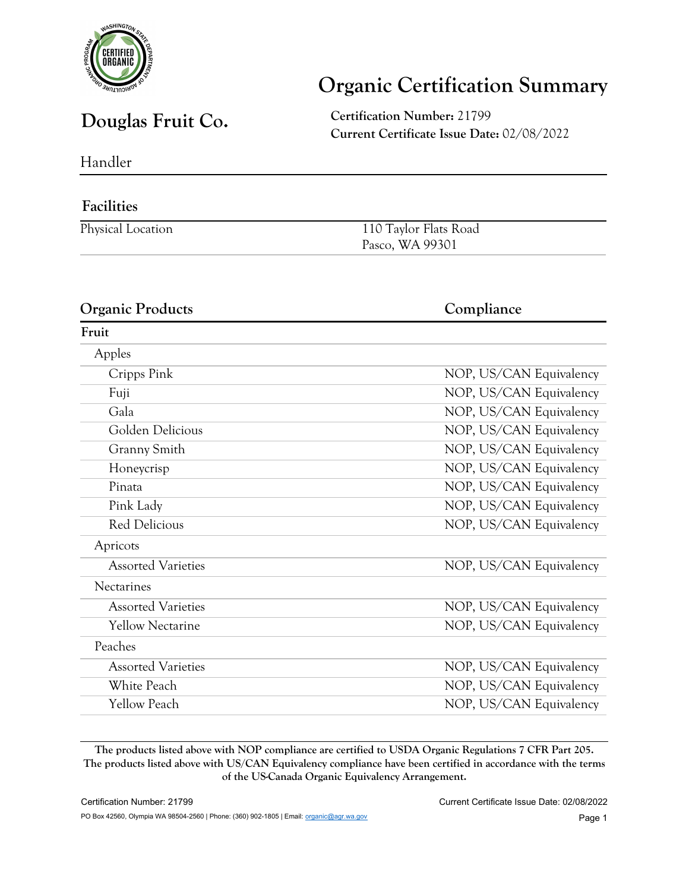

## **Organic Certification Summary**

**Douglas Fruit Co. Certification Number:** <sup>21799</sup> **Current Certificate Issue Date:** 02/08/2022

Handler

#### **Facilities**

| Physical Location | 110 Taylor Flats Road |
|-------------------|-----------------------|
|                   | Pasco, WA 99301       |

#### **Organic Products Compliance Fruit** Apples Cripps Pink NOP, US/CAN Equivalency Fuji NOP, US/CAN Equivalency Gala **Gala** NOP, US/CAN Equivalency Golden Delicious NOP, US/CAN Equivalency Granny Smith NOP, US/CAN Equivalency Honeycrisp NOP, US/CAN Equivalency Pinata NOP, US/CAN Equivalency Pink Lady NOP, US/CAN Equivalency Red Delicious NOP, US/CAN Equivalency Apricots Assorted Varieties NOP, US/CAN Equivalency Nectarines Assorted Varieties NOP, US/CAN Equivalency Yellow Nectarine NOP, US/CAN Equivalency Peaches Assorted Varieties NOP, US/CAN Equivalency White Peach NOP, US/CAN Equivalency Yellow Peach NOP, US/CAN Equivalency

**The products listed above with NOP compliance are certified to USDA Organic Regulations 7 CFR Part 205. The products listed above with US/CAN Equivalency compliance have been certified in accordance with the terms of the US-Canada Organic Equivalency Arrangement.**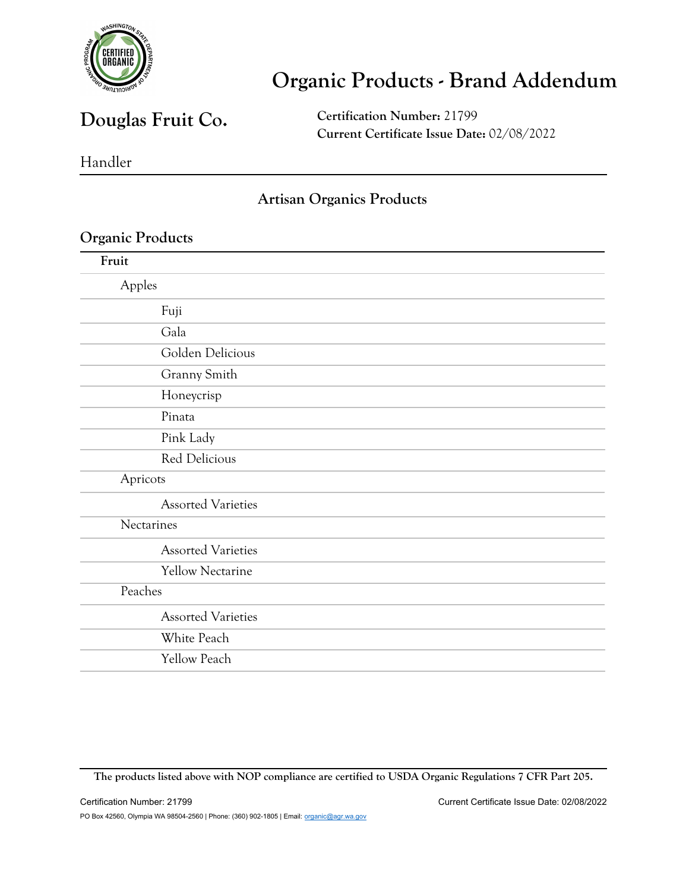

### **Douglas Fruit Co.**

**Certification Number:** 21799 **Current Certificate Issue Date:** 02/08/2022

Handler

#### **Artisan Organics Products**

| Fruit                     |  |
|---------------------------|--|
| Apples                    |  |
| Fuji                      |  |
| Gala                      |  |
| Golden Delicious          |  |
| Granny Smith              |  |
| Honeycrisp                |  |
| Pinata                    |  |
| Pink Lady                 |  |
| Red Delicious             |  |
| Apricots                  |  |
| <b>Assorted Varieties</b> |  |
| Nectarines                |  |
| <b>Assorted Varieties</b> |  |
| <b>Yellow Nectarine</b>   |  |
| Peaches                   |  |
| <b>Assorted Varieties</b> |  |
| White Peach               |  |
| <b>Yellow Peach</b>       |  |

**The products listed above with NOP compliance are certified to USDA Organic Regulations 7 CFR Part 205.**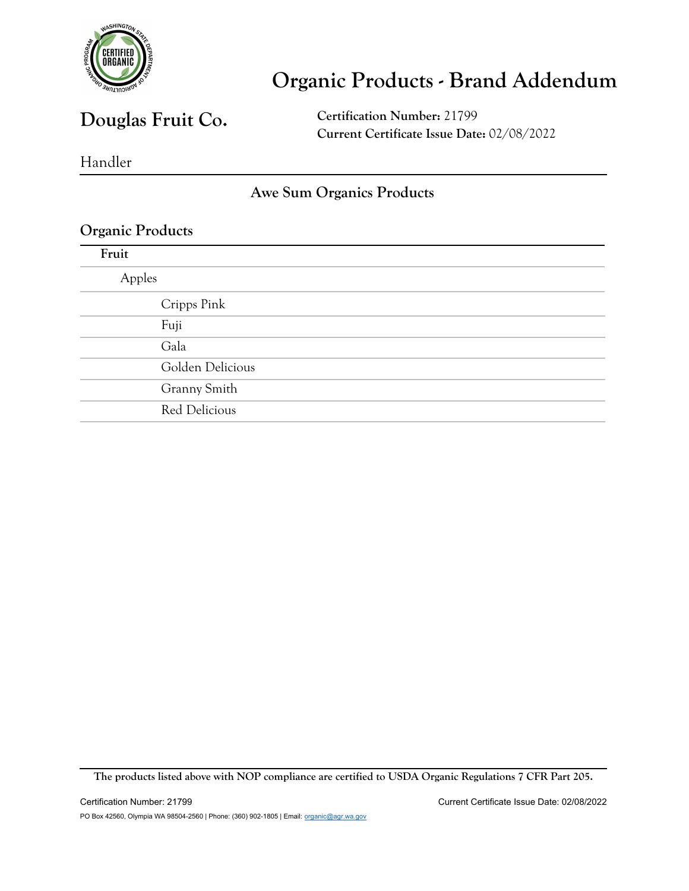

### **Douglas Fruit Co.**

**Certification Number:** 21799 **Current Certificate Issue Date:** 02/08/2022

Handler

#### **Awe Sum Organics Products**

#### **Organic Products**

| Apples           |  |
|------------------|--|
| Cripps Pink      |  |
| Fuji             |  |
| Gala             |  |
| Golden Delicious |  |
| Granny Smith     |  |
| Red Delicious    |  |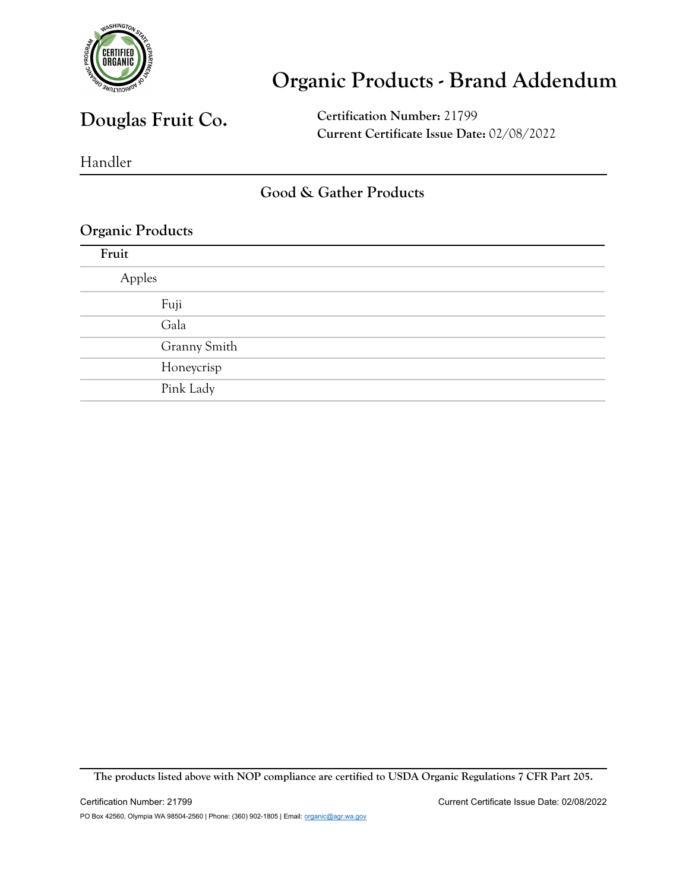

### **Douglas Fruit Co.**

**Certification Number:** 21799 **Current Certificate Issue Date:** 02/08/2022

Handler

#### **Good & Gather Products**

#### **Organic Products**

| Fruit  |              |
|--------|--------------|
| Apples |              |
|        | Fuji         |
|        | Gala         |
|        | Granny Smith |
|        | Honeycrisp   |
|        | Pink Lady    |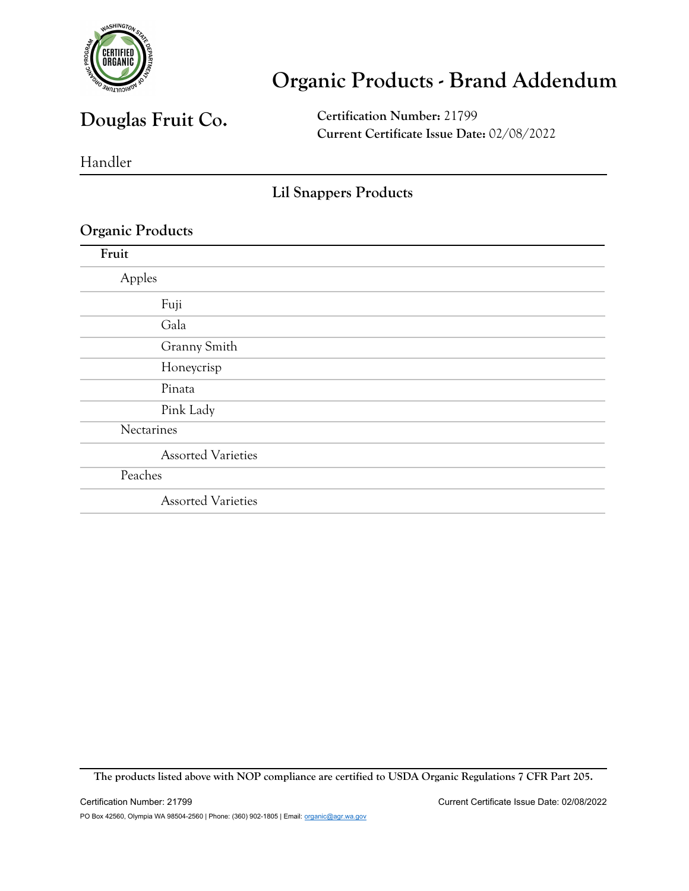

### **Douglas Fruit Co.**

**Certification Number:** 21799 **Current Certificate Issue Date:** 02/08/2022

Handler

#### **Lil Snappers Products**

#### **Organic Products**

| Fruit                     |  |
|---------------------------|--|
| Apples                    |  |
| Fuji                      |  |
| Gala                      |  |
| Granny Smith              |  |
| Honeycrisp                |  |
| Pinata                    |  |
| Pink Lady                 |  |
| Nectarines                |  |
| <b>Assorted Varieties</b> |  |
| Peaches                   |  |
| <b>Assorted Varieties</b> |  |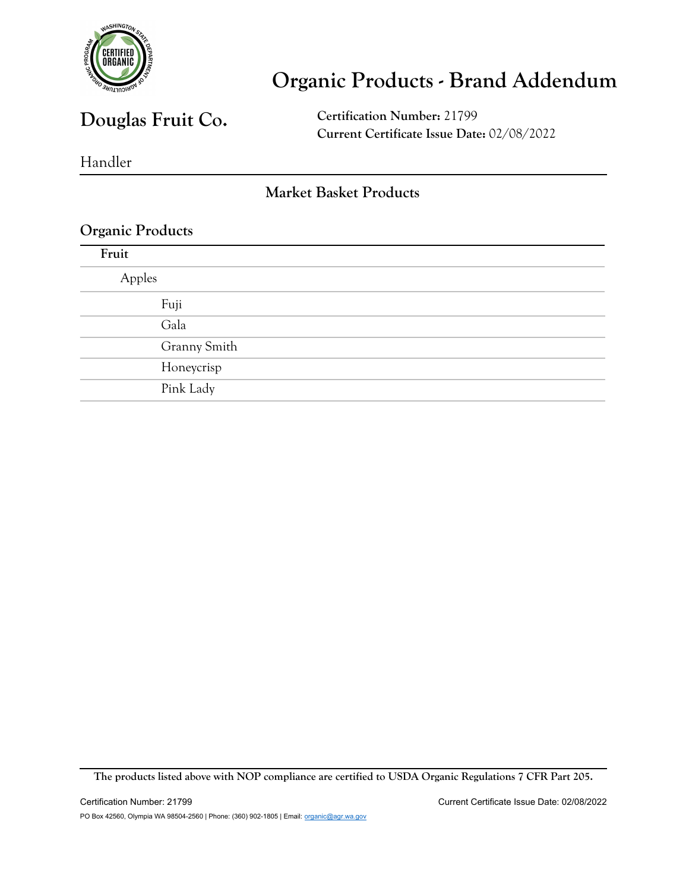

### **Douglas Fruit Co.**

**Certification Number:** 21799 **Current Certificate Issue Date:** 02/08/2022

Handler

#### **Market Basket Products**

#### **Organic Products**

| Fruit  |              |
|--------|--------------|
| Apples |              |
|        | Fuji         |
|        | Gala         |
|        | Granny Smith |
|        | Honeycrisp   |
|        | Pink Lady    |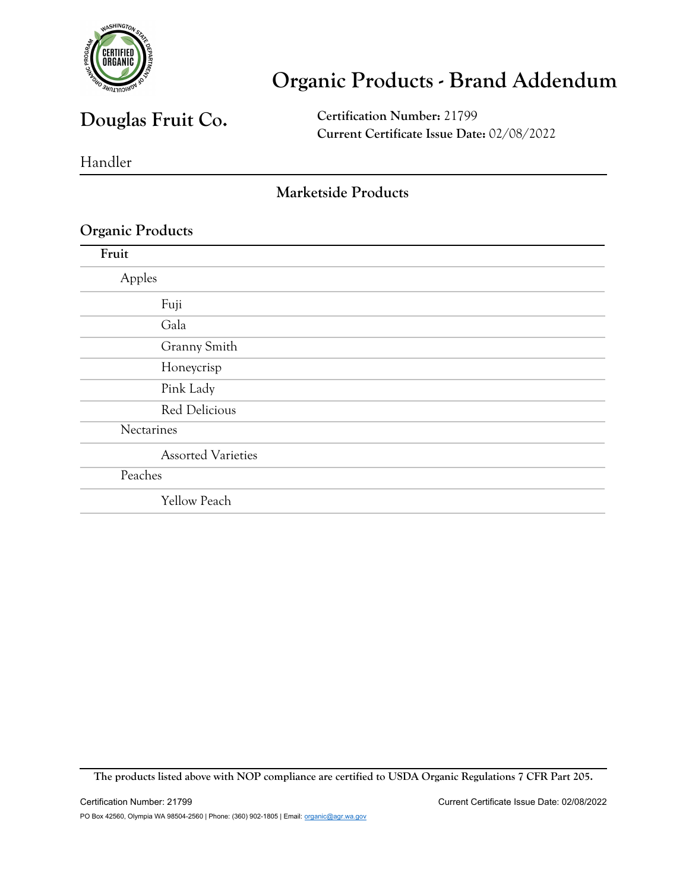

### **Douglas Fruit Co.**

**Certification Number:** 21799 **Current Certificate Issue Date:** 02/08/2022

Handler

#### **Marketside Products**

#### **Organic Products**

| Fruit                     |  |
|---------------------------|--|
| Apples                    |  |
| Fuji                      |  |
| Gala                      |  |
| Granny Smith              |  |
| Honeycrisp                |  |
| Pink Lady                 |  |
| Red Delicious             |  |
| Nectarines                |  |
| <b>Assorted Varieties</b> |  |
| Peaches                   |  |
| <b>Yellow Peach</b>       |  |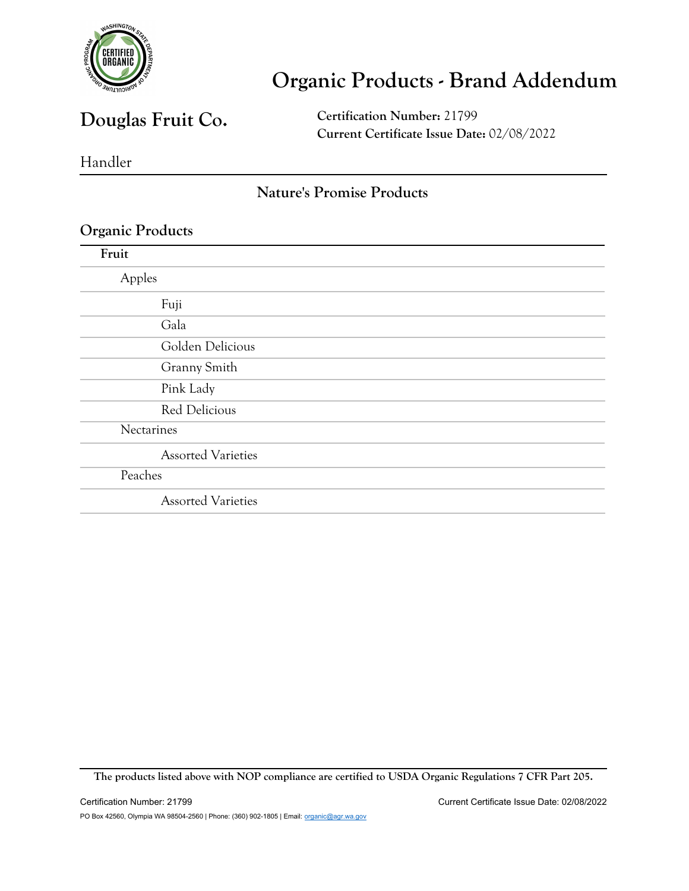

### **Douglas Fruit Co.**

**Certification Number:** 21799 **Current Certificate Issue Date:** 02/08/2022

Handler

#### **Nature's Promise Products**

#### **Organic Products**

| Fruit                     |  |
|---------------------------|--|
| Apples                    |  |
| Fuji                      |  |
| Gala                      |  |
| Golden Delicious          |  |
| Granny Smith              |  |
| Pink Lady                 |  |
| <b>Red Delicious</b>      |  |
| Nectarines                |  |
| <b>Assorted Varieties</b> |  |
| Peaches                   |  |
| <b>Assorted Varieties</b> |  |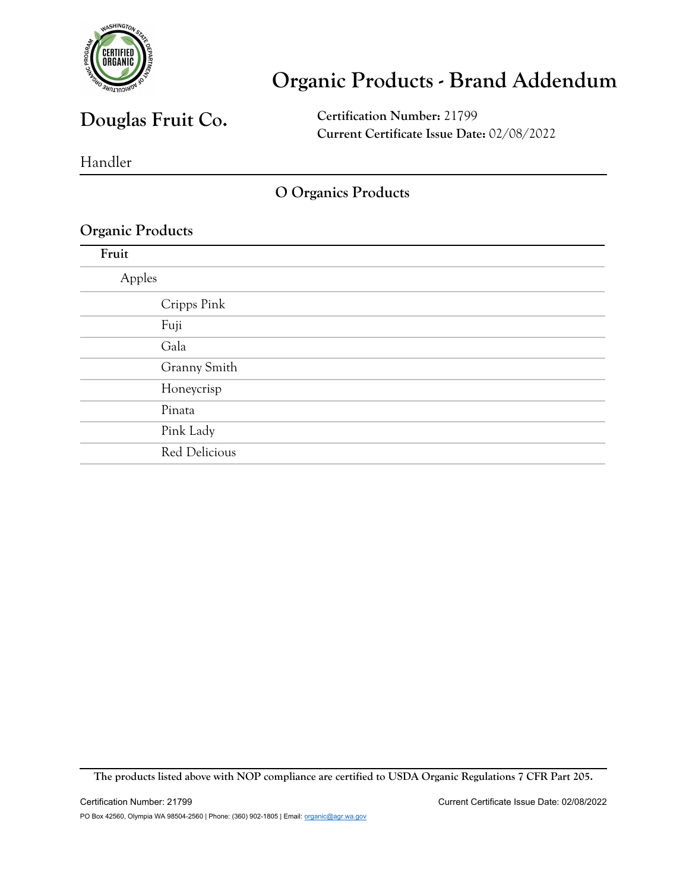

### **Douglas Fruit Co.**

**Certification Number:** 21799 **Current Certificate Issue Date:** 02/08/2022

Handler

#### **O Organics Products**

**The products listed above with NOP compliance are certified to USDA Organic Regulations 7 CFR Part 205.**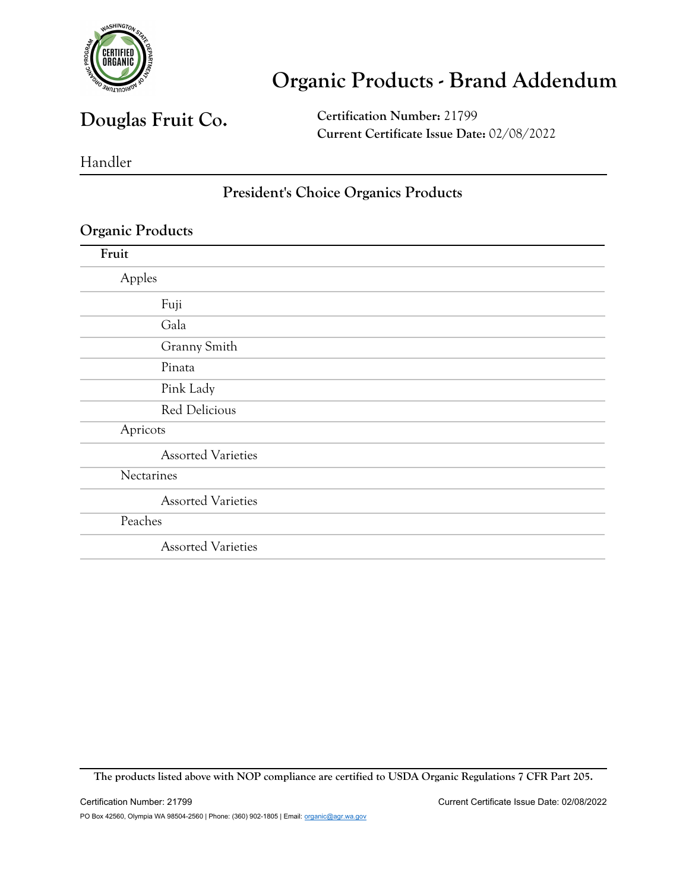

### **Douglas Fruit Co.**

**Certification Number:** 21799 **Current Certificate Issue Date:** 02/08/2022

Handler

#### **President's Choice Organics Products**

| Fruit                     |
|---------------------------|
| Apples                    |
| Fuji                      |
| Gala                      |
| Granny Smith              |
| Pinata                    |
| Pink Lady                 |
| Red Delicious             |
| Apricots                  |
| <b>Assorted Varieties</b> |
| Nectarines                |
| <b>Assorted Varieties</b> |
| Peaches                   |
| <b>Assorted Varieties</b> |

**The products listed above with NOP compliance are certified to USDA Organic Regulations 7 CFR Part 205.**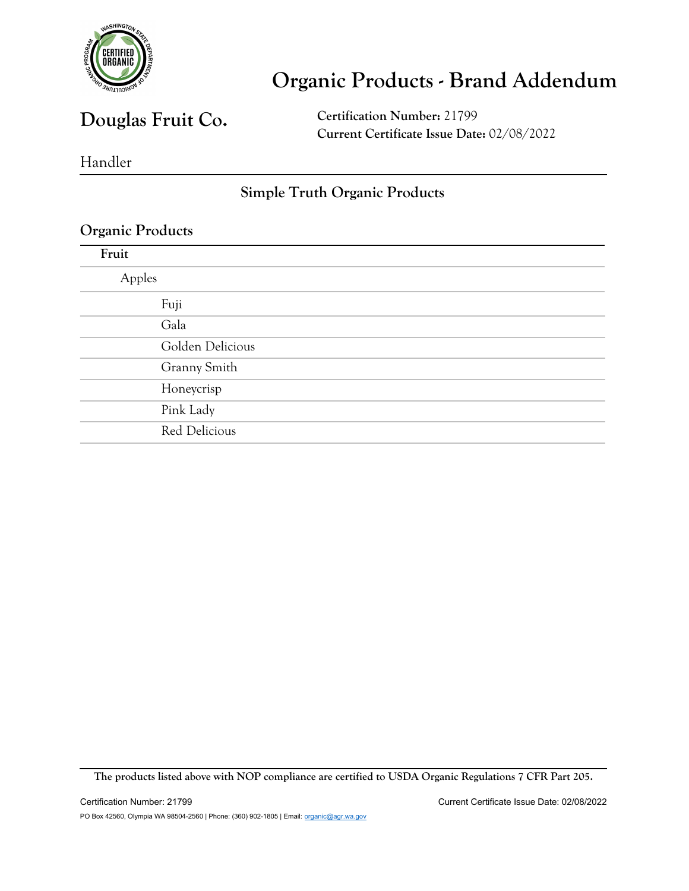

### **Douglas Fruit Co.**

**Certification Number:** 21799 **Current Certificate Issue Date:** 02/08/2022

Handler

#### **Simple Truth Organic Products**

| Golden Delicious |  |
|------------------|--|

**The products listed above with NOP compliance are certified to USDA Organic Regulations 7 CFR Part 205.**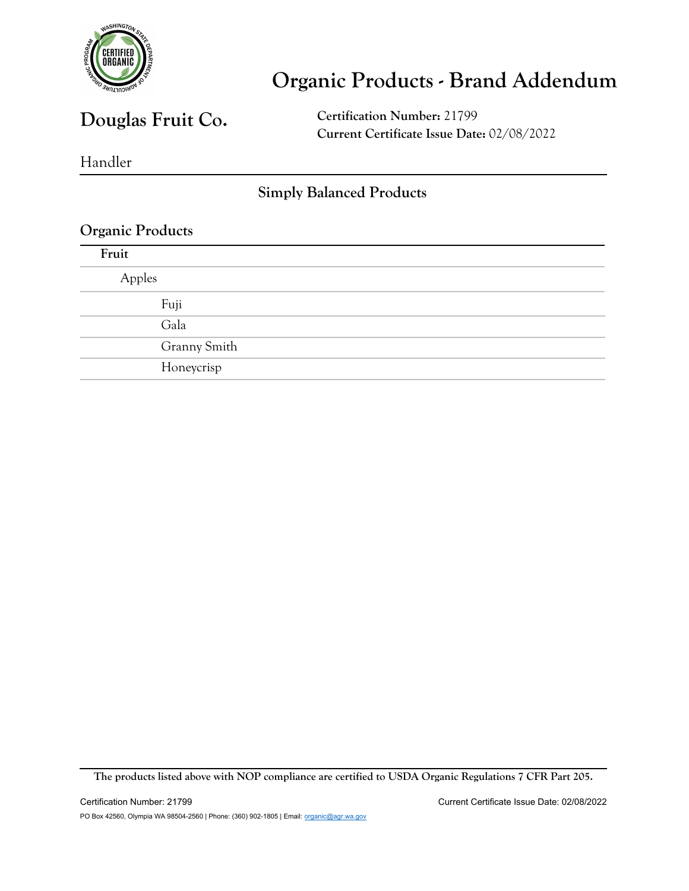

### **Douglas Fruit Co.**

**Certification Number:** 21799 **Current Certificate Issue Date:** 02/08/2022

Handler

#### **Simply Balanced Products**

#### **Organic Products**

| Fruit        |  |
|--------------|--|
| Apples       |  |
| Fuji         |  |
| Gala         |  |
| Granny Smith |  |
| Honeycrisp   |  |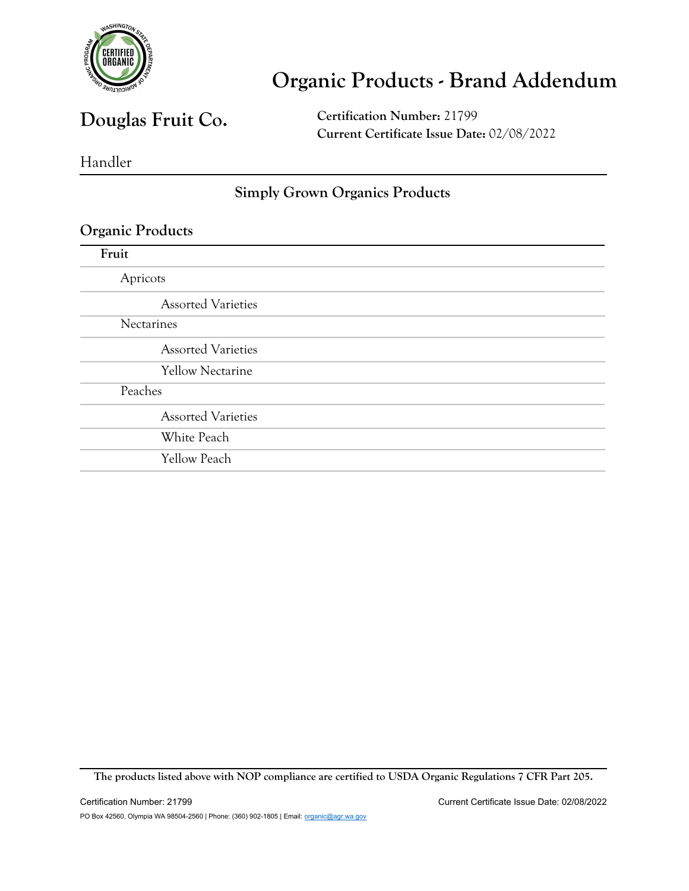

### **Douglas Fruit Co.**

**Certification Number:** 21799 **Current Certificate Issue Date:** 02/08/2022

Handler

#### **Simply Grown Organics Products**

#### **Organic Products**

| Fruit      |                           |
|------------|---------------------------|
| Apricots   |                           |
|            | <b>Assorted Varieties</b> |
| Nectarines |                           |
|            | <b>Assorted Varieties</b> |
|            | <b>Yellow Nectarine</b>   |
| Peaches    |                           |
|            | <b>Assorted Varieties</b> |
|            | White Peach               |
|            | <b>Yellow Peach</b>       |
|            |                           |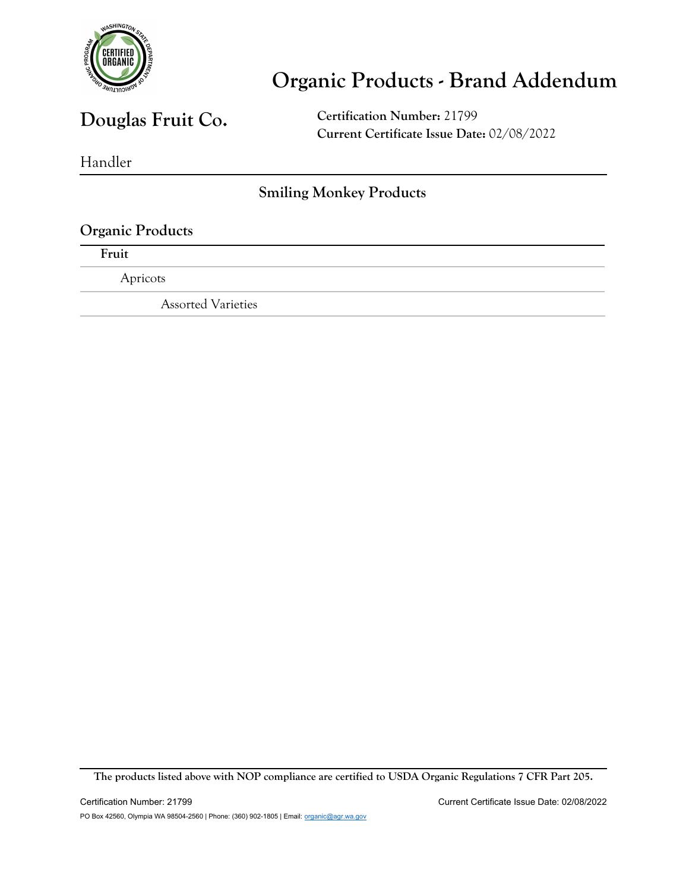

### **Douglas Fruit Co.**

**Certification Number:** 21799 **Current Certificate Issue Date:** 02/08/2022

Handler

#### **Smiling Monkey Products**

### **Organic Products Fruit** Apricots Assorted Varieties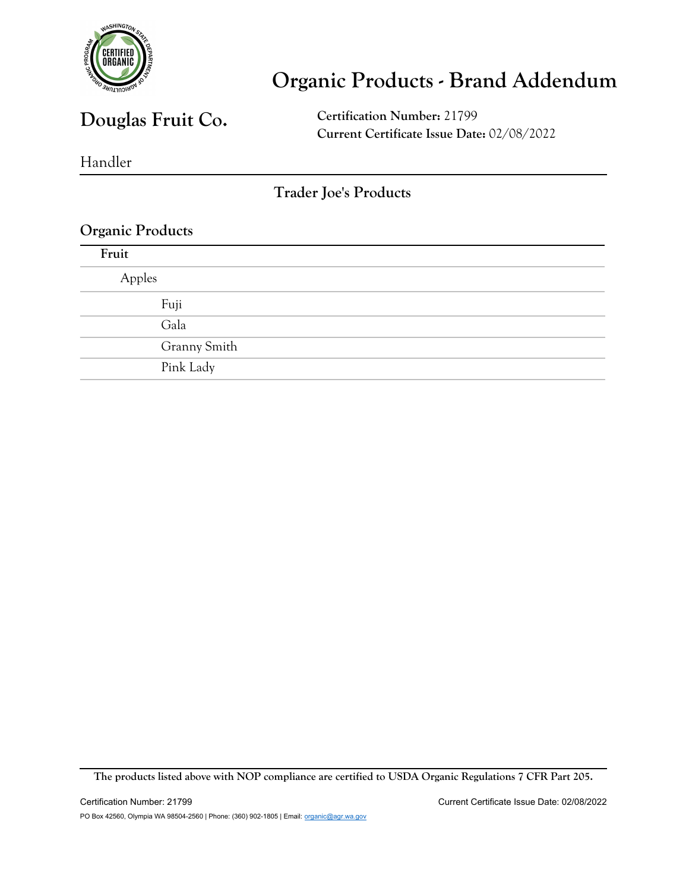

### **Douglas Fruit Co.**

**Certification Number:** 21799 **Current Certificate Issue Date:** 02/08/2022

Handler

#### **Trader Joe's Products**

#### **Organic Products**

| Fruit  |              |
|--------|--------------|
| Apples |              |
|        | Fuji         |
|        | Gala         |
|        | Granny Smith |
|        | Pink Lady    |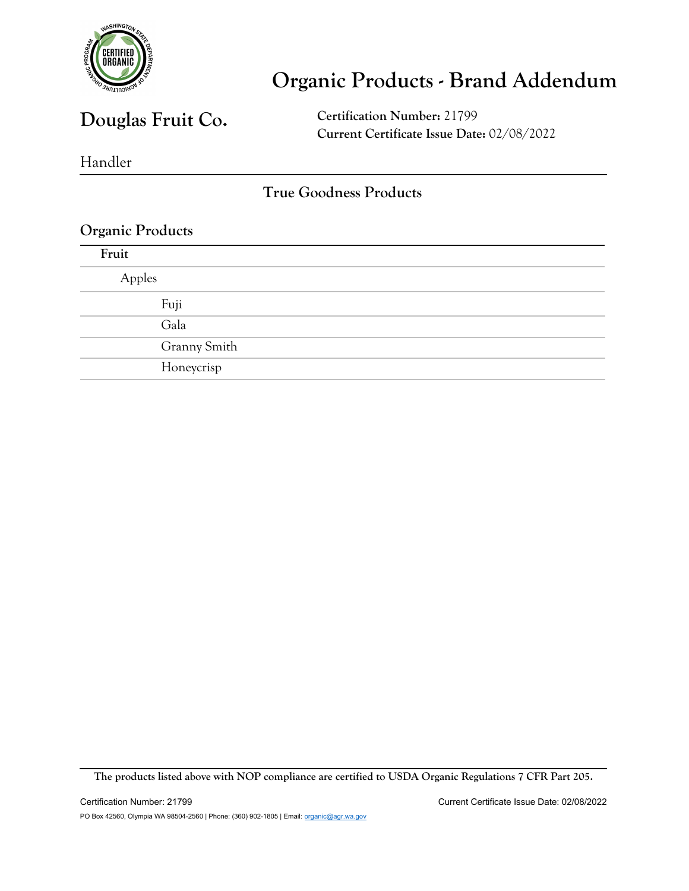

### **Douglas Fruit Co.**

**Certification Number:** 21799 **Current Certificate Issue Date:** 02/08/2022

Handler

#### **True Goodness Products**

#### **Organic Products**

| Fruit        |  |
|--------------|--|
| Apples       |  |
| Fuji         |  |
| Gala         |  |
| Granny Smith |  |
| Honeycrisp   |  |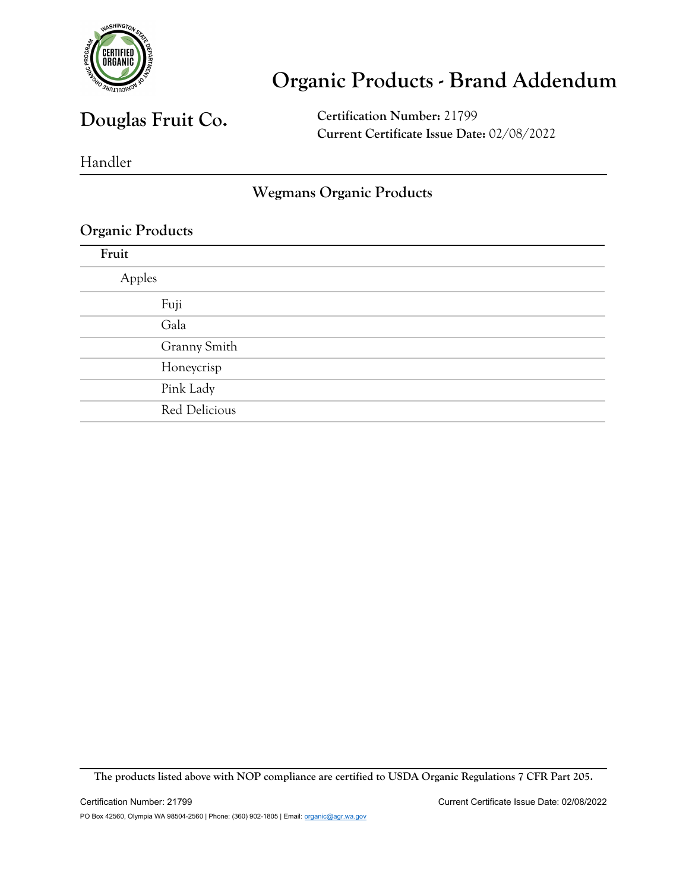

### **Douglas Fruit Co.**

**Certification Number:** 21799 **Current Certificate Issue Date:** 02/08/2022

Handler

#### **Wegmans Organic Products**

#### **Organic Products**

| Fruit  |               |
|--------|---------------|
| Apples |               |
|        | Fuji          |
|        | Gala          |
|        | Granny Smith  |
|        | Honeycrisp    |
|        | Pink Lady     |
|        | Red Delicious |